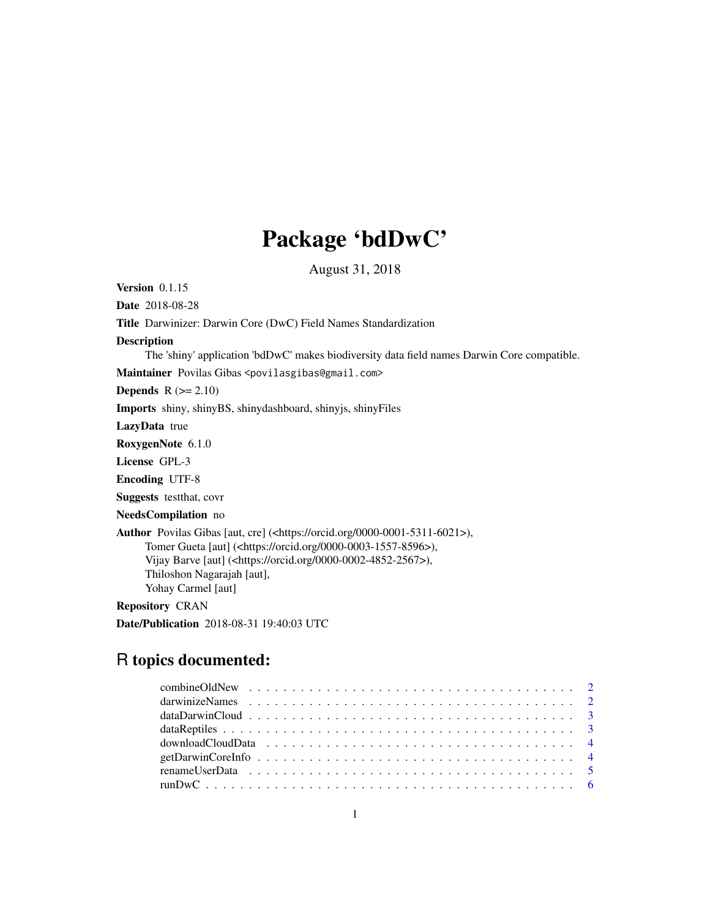## Package 'bdDwC'

August 31, 2018

Version 0.1.15 Date 2018-08-28 Title Darwinizer: Darwin Core (DwC) Field Names Standardization Description The 'shiny' application 'bdDwC' makes biodiversity data field names Darwin Core compatible. Maintainer Povilas Gibas <povilasgibas@gmail.com> **Depends**  $R (= 2.10)$ Imports shiny, shinyBS, shinydashboard, shinyjs, shinyFiles LazyData true RoxygenNote 6.1.0 License GPL-3 Encoding UTF-8 Suggests testthat, covr NeedsCompilation no Author Povilas Gibas [aut, cre] (<https://orcid.org/0000-0001-5311-6021>), Tomer Gueta [aut] (<https://orcid.org/0000-0003-1557-8596>), Vijay Barve [aut] (<https://orcid.org/0000-0002-4852-2567>), Thiloshon Nagarajah [aut], Yohay Carmel [aut] Repository CRAN Date/Publication 2018-08-31 19:40:03 UTC

### R topics documented: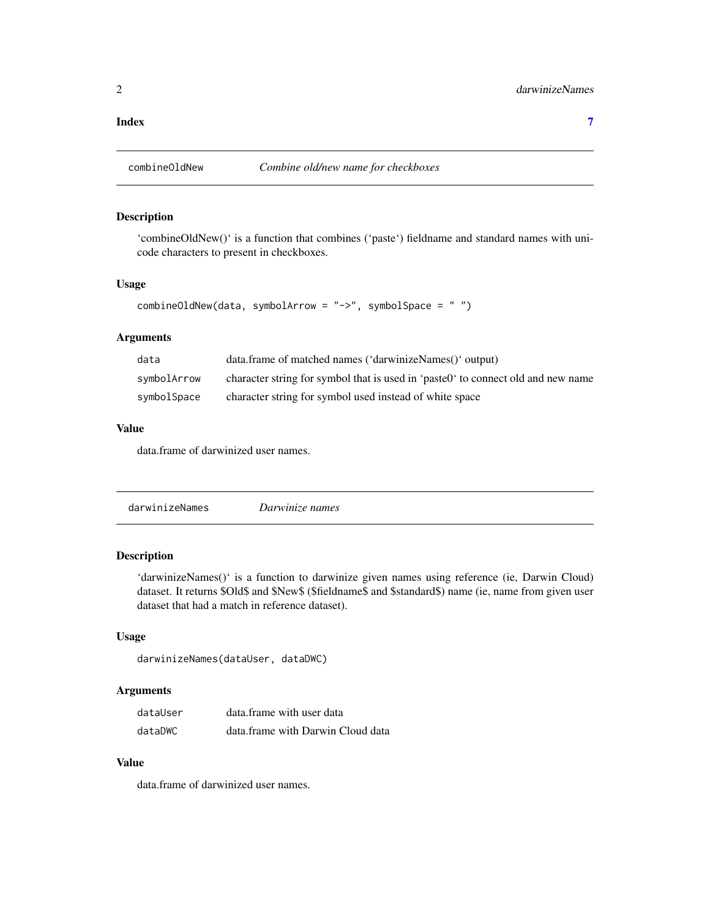#### <span id="page-1-0"></span>**Index** [7](#page-6-0) **7**

combineOldNew *Combine old/new name for checkboxes*

#### Description

'combineOldNew()' is a function that combines ('paste') fieldname and standard names with unicode characters to present in checkboxes.

#### Usage

```
combineOldNew(data, symbolArrow = "->", symbolSpace = " ")
```
#### Arguments

| data        | data.frame of matched names ('darwinizeNames()' output)                          |
|-------------|----------------------------------------------------------------------------------|
| symbolArrow | character string for symbol that is used in 'paste0' to connect old and new name |
| symbolSpace | character string for symbol used instead of white space                          |

#### Value

data.frame of darwinized user names.

|  | darwinizeNames | Darwinize names |  |  |
|--|----------------|-----------------|--|--|
|--|----------------|-----------------|--|--|

#### Description

'darwinizeNames()' is a function to darwinize given names using reference (ie, Darwin Cloud) dataset. It returns \$Old\$ and \$New\$ (\$fieldname\$ and \$standard\$) name (ie, name from given user dataset that had a match in reference dataset).

#### Usage

```
darwinizeNames(dataUser, dataDWC)
```
#### Arguments

| dataUser | data frame with user data         |
|----------|-----------------------------------|
| dataDWC  | data.frame with Darwin Cloud data |

#### Value

data.frame of darwinized user names.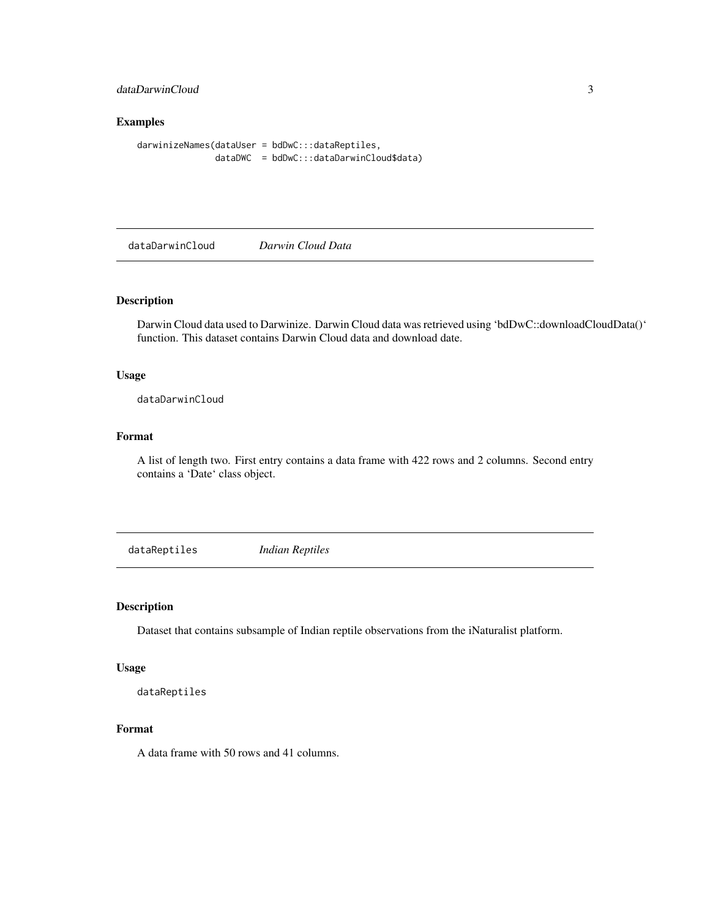#### <span id="page-2-0"></span>dataDarwinCloud 3

#### Examples

darwinizeNames(dataUser = bdDwC:::dataReptiles, dataDWC = bdDwC:::dataDarwinCloud\$data)

dataDarwinCloud *Darwin Cloud Data*

#### Description

Darwin Cloud data used to Darwinize. Darwin Cloud data was retrieved using 'bdDwC::downloadCloudData()' function. This dataset contains Darwin Cloud data and download date.

#### Usage

dataDarwinCloud

#### Format

A list of length two. First entry contains a data frame with 422 rows and 2 columns. Second entry contains a 'Date' class object.

dataReptiles *Indian Reptiles*

#### Description

Dataset that contains subsample of Indian reptile observations from the iNaturalist platform.

#### Usage

dataReptiles

#### Format

A data frame with 50 rows and 41 columns.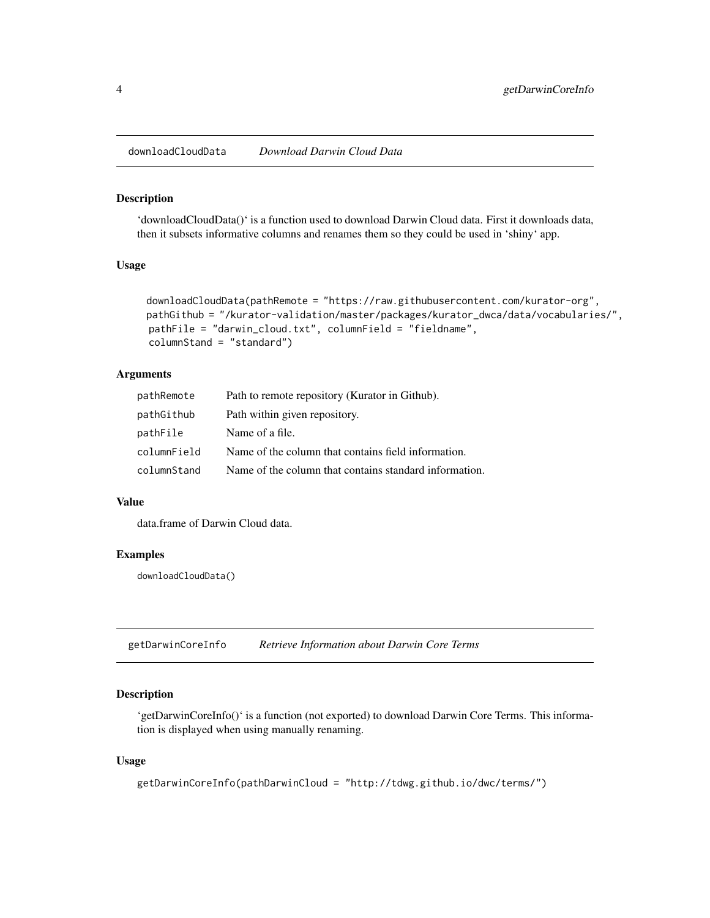<span id="page-3-0"></span>downloadCloudData *Download Darwin Cloud Data*

#### Description

'downloadCloudData()' is a function used to download Darwin Cloud data. First it downloads data, then it subsets informative columns and renames them so they could be used in 'shiny' app.

#### Usage

```
downloadCloudData(pathRemote = "https://raw.githubusercontent.com/kurator-org",
pathGithub = "/kurator-validation/master/packages/kurator_dwca/data/vocabularies/",
pathFile = "darwin_cloud.txt", columnField = "fieldname",
columnStand = "standard")
```
#### **Arguments**

| pathRemote  | Path to remote repository (Kurator in Github).         |
|-------------|--------------------------------------------------------|
| pathGithub  | Path within given repository.                          |
| pathFile    | Name of a file.                                        |
| columnField | Name of the column that contains field information.    |
| columnStand | Name of the column that contains standard information. |

#### Value

data.frame of Darwin Cloud data.

#### Examples

downloadCloudData()

getDarwinCoreInfo *Retrieve Information about Darwin Core Terms*

#### Description

'getDarwinCoreInfo()' is a function (not exported) to download Darwin Core Terms. This information is displayed when using manually renaming.

#### Usage

```
getDarwinCoreInfo(pathDarwinCloud = "http://tdwg.github.io/dwc/terms/")
```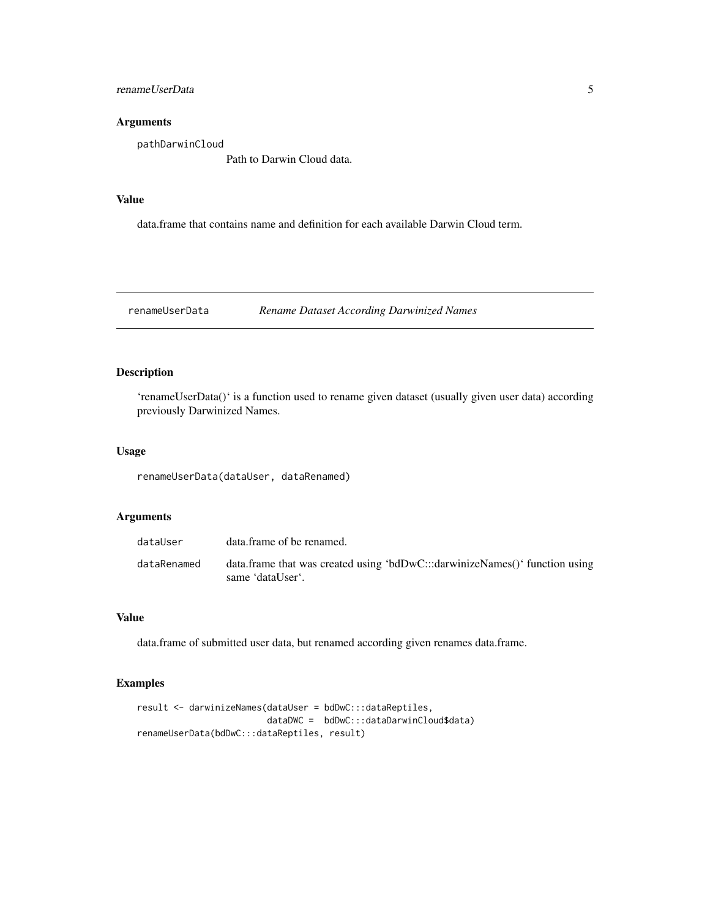<span id="page-4-0"></span>renameUserData 5

#### Arguments

pathDarwinCloud

Path to Darwin Cloud data.

#### Value

data.frame that contains name and definition for each available Darwin Cloud term.

renameUserData *Rename Dataset According Darwinized Names*

#### Description

'renameUserData()' is a function used to rename given dataset (usually given user data) according previously Darwinized Names.

#### Usage

renameUserData(dataUser, dataRenamed)

#### Arguments

| dataUser    | data frame of be renamed.                                                                       |
|-------------|-------------------------------------------------------------------------------------------------|
| dataRenamed | data.frame that was created using 'bdDwC:::darwinizeNames()' function using<br>same 'dataUser'. |

#### Value

data.frame of submitted user data, but renamed according given renames data.frame.

#### Examples

```
result <- darwinizeNames(dataUser = bdDwC:::dataReptiles,
                        dataDWC = bdDwC:::dataDarwinCloud$data)
renameUserData(bdDwC:::dataReptiles, result)
```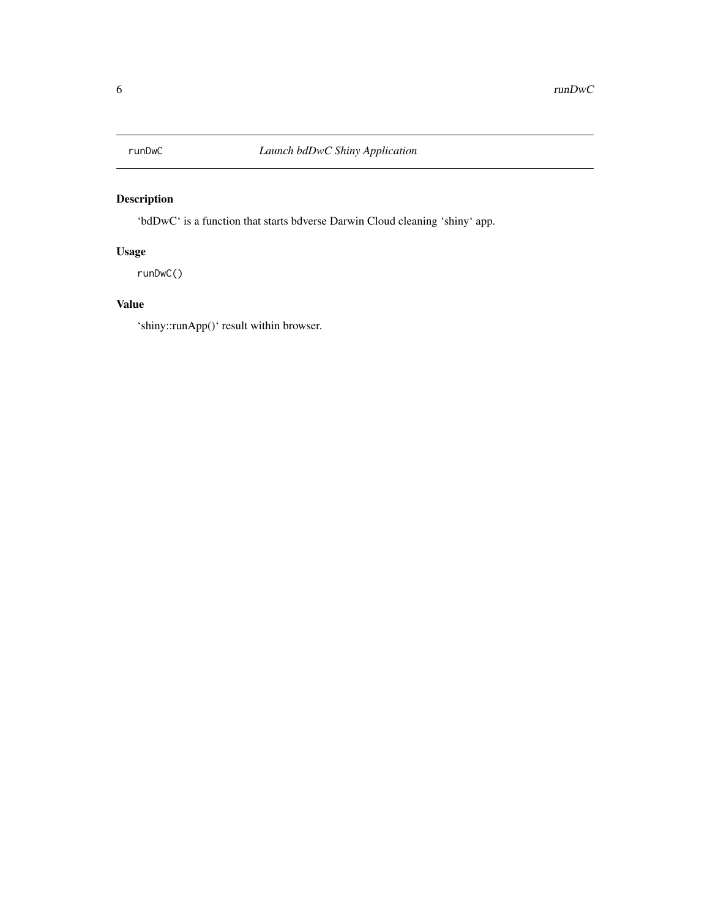<span id="page-5-0"></span>

#### Description

'bdDwC' is a function that starts bdverse Darwin Cloud cleaning 'shiny' app.

#### Usage

runDwC()

#### Value

'shiny::runApp()' result within browser.